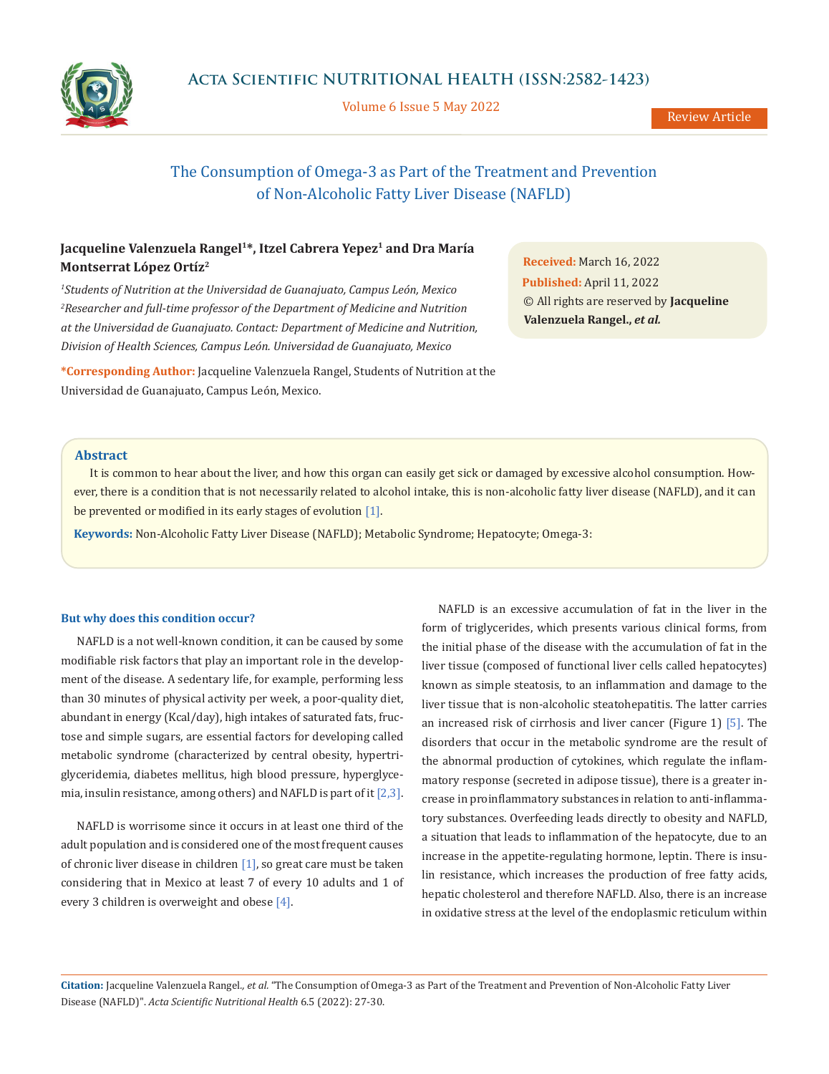

Volume 6 Issue 5 May 2022

Review Article

# The Consumption of Omega-3 as Part of the Treatment and Prevention of Non-Alcoholic Fatty Liver Disease (NAFLD)

# Jacqueline Valenzuela Rangel<sup>1\*</sup>, Itzel Cabrera Yepez<sup>1</sup> and Dra María **Montserrat López Ortíz2**

*1 Students of Nutrition at the Universidad de Guanajuato, Campus León, Mexico* <sup>2</sup> Researcher and full-time professor of the Department of Medicine and Nutrition *at the Universidad de Guanajuato. Contact: Department of Medicine and Nutrition, Division of Health Sciences, Campus León. Universidad de Guanajuato, Mexico*

**\*Corresponding Author:** Jacqueline Valenzuela Rangel, Students of Nutrition at the Universidad de Guanajuato, Campus León, Mexico.

**Received:** March 16, 2022 **Published:** April 11, 2022 © All rights are reserved by **Jacqueline Valenzuela Rangel.,** *et al.*

#### **Abstract**

It is common to hear about the liver, and how this organ can easily get sick or damaged by excessive alcohol consumption. However, there is a condition that is not necessarily related to alcohol intake, this is non-alcoholic fatty liver disease (NAFLD), and it can be prevented or modified in its early stages of evolution [1].

**Keywords:** Non-Alcoholic Fatty Liver Disease (NAFLD); Metabolic Syndrome; Hepatocyte; Omega-3:

#### **But why does this condition occur?**

NAFLD is a not well-known condition, it can be caused by some modifiable risk factors that play an important role in the development of the disease. A sedentary life, for example, performing less than 30 minutes of physical activity per week, a poor-quality diet, abundant in energy (Kcal/day), high intakes of saturated fats, fructose and simple sugars, are essential factors for developing called metabolic syndrome (characterized by central obesity, hypertriglyceridemia, diabetes mellitus, high blood pressure, hyperglycemia, insulin resistance, among others) and NAFLD is part of it [2,3].

NAFLD is worrisome since it occurs in at least one third of the adult population and is considered one of the most frequent causes of chronic liver disease in children  $[1]$ , so great care must be taken considering that in Mexico at least 7 of every 10 adults and 1 of every 3 children is overweight and obese [4].

NAFLD is an excessive accumulation of fat in the liver in the form of triglycerides, which presents various clinical forms, from the initial phase of the disease with the accumulation of fat in the liver tissue (composed of functional liver cells called hepatocytes) known as simple steatosis, to an inflammation and damage to the liver tissue that is non-alcoholic steatohepatitis. The latter carries an increased risk of cirrhosis and liver cancer (Figure 1) [5]. The disorders that occur in the metabolic syndrome are the result of the abnormal production of cytokines, which regulate the inflammatory response (secreted in adipose tissue), there is a greater increase in proinflammatory substances in relation to anti-inflammatory substances. Overfeeding leads directly to obesity and NAFLD, a situation that leads to inflammation of the hepatocyte, due to an increase in the appetite-regulating hormone, leptin. There is insulin resistance, which increases the production of free fatty acids, hepatic cholesterol and therefore NAFLD. Also, there is an increase in oxidative stress at the level of the endoplasmic reticulum within

**Citation:** Jacqueline Valenzuela Rangel*., et al.* "The Consumption of Omega-3 as Part of the Treatment and Prevention of Non-Alcoholic Fatty Liver Disease (NAFLD)". *Acta Scientific Nutritional Health* 6.5 (2022): 27-30.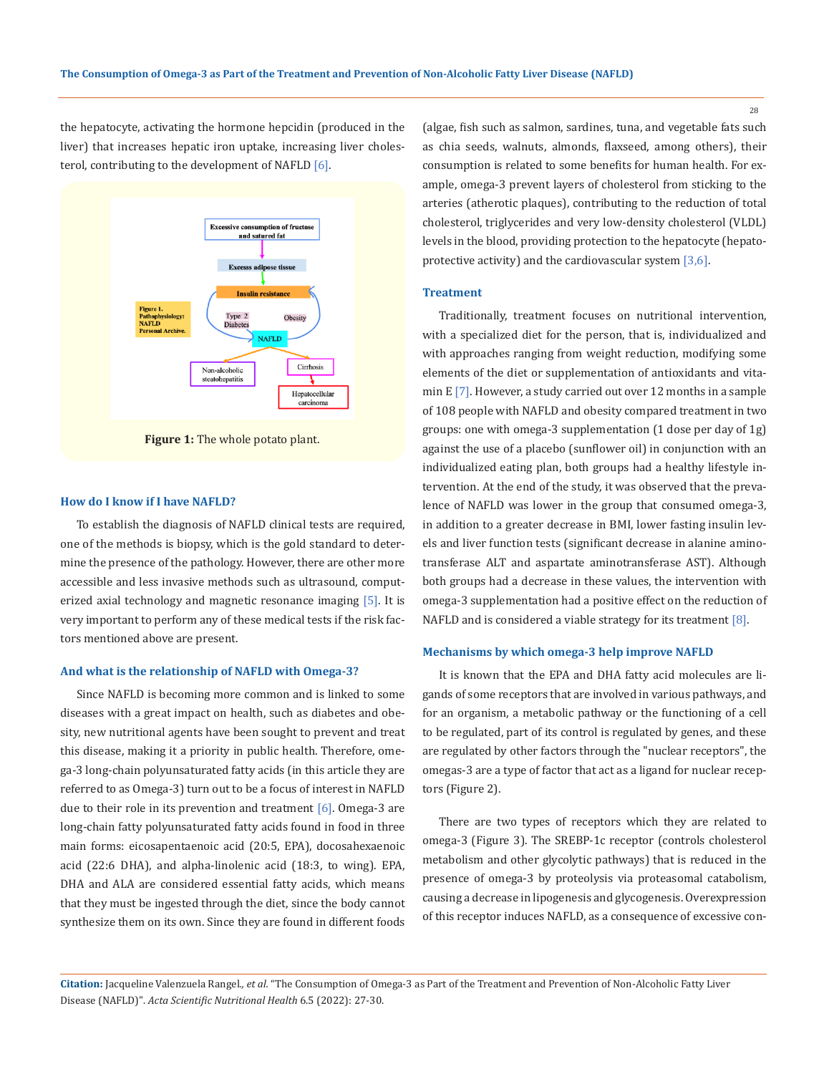the hepatocyte, activating the hormone hepcidin (produced in the liver) that increases hepatic iron uptake, increasing liver cholesterol, contributing to the development of NAFLD [6].



**Figure 1:** The whole potato plant.

#### **How do I know if I have NAFLD?**

To establish the diagnosis of NAFLD clinical tests are required, one of the methods is biopsy, which is the gold standard to determine the presence of the pathology. However, there are other more accessible and less invasive methods such as ultrasound, computerized axial technology and magnetic resonance imaging [5]. It is very important to perform any of these medical tests if the risk factors mentioned above are present.

#### **And what is the relationship of NAFLD with Omega-3?**

Since NAFLD is becoming more common and is linked to some diseases with a great impact on health, such as diabetes and obesity, new nutritional agents have been sought to prevent and treat this disease, making it a priority in public health. Therefore, omega-3 long-chain polyunsaturated fatty acids (in this article they are referred to as Omega-3) turn out to be a focus of interest in NAFLD due to their role in its prevention and treatment  $[6]$ . Omega-3 are long-chain fatty polyunsaturated fatty acids found in food in three main forms: eicosapentaenoic acid (20:5, EPA), docosahexaenoic acid (22:6 DHA), and alpha-linolenic acid (18:3, to wing). EPA, DHA and ALA are considered essential fatty acids, which means that they must be ingested through the diet, since the body cannot synthesize them on its own. Since they are found in different foods (algae, fish such as salmon, sardines, tuna, and vegetable fats such as chia seeds, walnuts, almonds, flaxseed, among others), their consumption is related to some benefits for human health. For example, omega-3 prevent layers of cholesterol from sticking to the arteries (atherotic plaques), contributing to the reduction of total cholesterol, triglycerides and very low-density cholesterol (VLDL) levels in the blood, providing protection to the hepatocyte (hepatoprotective activity) and the cardiovascular system [3,6].

#### **Treatment**

Traditionally, treatment focuses on nutritional intervention, with a specialized diet for the person, that is, individualized and with approaches ranging from weight reduction, modifying some elements of the diet or supplementation of antioxidants and vitamin E [7]. However, a study carried out over 12 months in a sample of 108 people with NAFLD and obesity compared treatment in two groups: one with omega-3 supplementation (1 dose per day of 1g) against the use of a placebo (sunflower oil) in conjunction with an individualized eating plan, both groups had a healthy lifestyle intervention. At the end of the study, it was observed that the prevalence of NAFLD was lower in the group that consumed omega-3, in addition to a greater decrease in BMI, lower fasting insulin levels and liver function tests (significant decrease in alanine aminotransferase ALT and aspartate aminotransferase AST). Although both groups had a decrease in these values, the intervention with omega-3 supplementation had a positive effect on the reduction of NAFLD and is considered a viable strategy for its treatment [8].

#### **Mechanisms by which omega-3 help improve NAFLD**

It is known that the EPA and DHA fatty acid molecules are ligands of some receptors that are involved in various pathways, and for an organism, a metabolic pathway or the functioning of a cell to be regulated, part of its control is regulated by genes, and these are regulated by other factors through the "nuclear receptors", the omegas-3 are a type of factor that act as a ligand for nuclear receptors (Figure 2).

There are two types of receptors which they are related to omega-3 (Figure 3). The SREBP-1c receptor (controls cholesterol metabolism and other glycolytic pathways) that is reduced in the presence of omega-3 by proteolysis via proteasomal catabolism, causing a decrease in lipogenesis and glycogenesis. Overexpression of this receptor induces NAFLD, as a consequence of excessive con-

**Citation:** Jacqueline Valenzuela Rangel*., et al.* "The Consumption of Omega-3 as Part of the Treatment and Prevention of Non-Alcoholic Fatty Liver Disease (NAFLD)". *Acta Scientific Nutritional Health* 6.5 (2022): 27-30.

28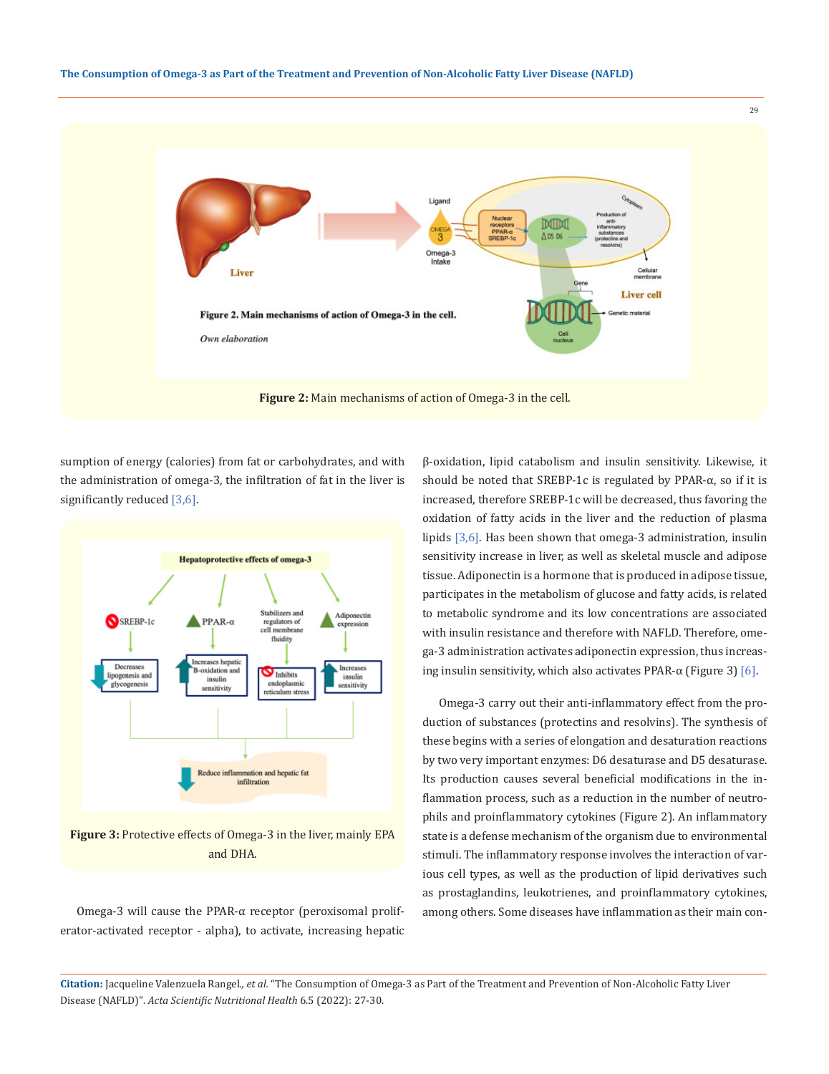

sumption of energy (calories) from fat or carbohydrates, and with the administration of omega-3, the infiltration of fat in the liver is significantly reduced [3,6].



and DHA.

Omega-3 will cause the PPAR-α receptor (peroxisomal proliferator-activated receptor - alpha), to activate, increasing hepatic β-oxidation, lipid catabolism and insulin sensitivity. Likewise, it should be noted that SREBP-1c is regulated by PPAR-α, so if it is increased, therefore SREBP-1c will be decreased, thus favoring the oxidation of fatty acids in the liver and the reduction of plasma lipids [3,6]. Has been shown that omega-3 administration, insulin sensitivity increase in liver, as well as skeletal muscle and adipose tissue. Adiponectin is a hormone that is produced in adipose tissue, participates in the metabolism of glucose and fatty acids, is related to metabolic syndrome and its low concentrations are associated with insulin resistance and therefore with NAFLD. Therefore, omega-3 administration activates adiponectin expression, thus increasing insulin sensitivity, which also activates PPAR- $\alpha$  (Figure 3) [6].

Omega-3 carry out their anti-inflammatory effect from the production of substances (protectins and resolvins). The synthesis of these begins with a series of elongation and desaturation reactions by two very important enzymes: D6 desaturase and D5 desaturase. Its production causes several beneficial modifications in the inflammation process, such as a reduction in the number of neutrophils and proinflammatory cytokines (Figure 2). An inflammatory state is a defense mechanism of the organism due to environmental stimuli. The inflammatory response involves the interaction of various cell types, as well as the production of lipid derivatives such as prostaglandins, leukotrienes, and proinflammatory cytokines, among others. Some diseases have inflammation as their main con-

**Citation:** Jacqueline Valenzuela Rangel*., et al.* "The Consumption of Omega-3 as Part of the Treatment and Prevention of Non-Alcoholic Fatty Liver Disease (NAFLD)". *Acta Scientific Nutritional Health* 6.5 (2022): 27-30.